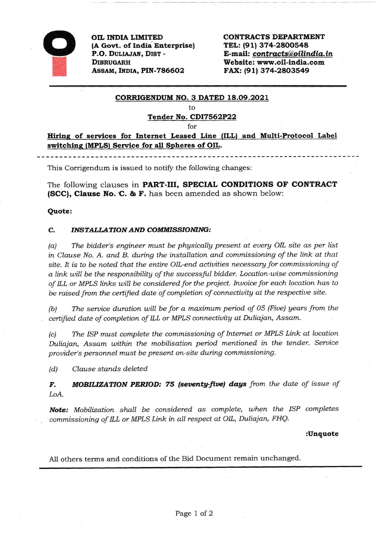

OIL INDIA LIMITED (A Govt. of India Enterprise) P.O. DULIAJAN, DIST -**DIBRUGARH** ASSAM, INDIA, PIN-786602

**CONTRACTS DEPARTMENT** TEL: (91) 374-2800548 E-mail: contracts@oilindia.in Website: www.oil-india.com FAX: (91) 374-2803549

## CORRIGENDUM NO. 3 DATED 18.09.2021

to

## Tender No. CDI7562P22

for

Hiring of services for Internet Leased Line (ILL) and Multi-Protocol Label switching (MPLS) Service for all Spheres of OIL.

This Corrigendum is issued to notify the following changes:

The following clauses in PART-III, SPECIAL CONDITIONS OF CONTRACT (SCC), Clause No. C. & F. has been amended as shown below:

## Quote:

## **INSTALLATION AND COMMISSIONING:**  $\mathbf{C}$

The bidder's engineer must be physically present at every OIL site as per list  $(a)$ in Clause No. A. and B. during the installation and commissioning of the link at that site. It is to be noted that the entire OIL-end activities necessary for commissioning of a link will be the responsibility of the successful bidder. Location-wise commissioning of ILL or MPLS links will be considered for the project. Invoice for each location has to be raised from the certified date of completion of connectivity at the respective site.

 $(b)$ The service duration will be for a maximum period of 05 (Five) years from the certified date of completion of ILL or MPLS connectivity at Duliajan, Assam.

The ISP must complete the commissioning of Internet or MPLS Link at location  $(c)$ Duliajan, Assam within the mobilisation period mentioned in the tender. Service provider's personnel must be present on-site during commissioning.

 $(d)$ Clause stands deleted

**MOBILIZATION PERIOD: 75 (seventy-five) days** from the date of issue of F. LoA.

Note: Mobilization shall be considered as complete, when the ISP completes commissioning of ILL or MPLS Link in all respect at OIL, Duliajan, FHQ.

:Unquote

All others terms and conditions of the Bid Document remain unchanged.